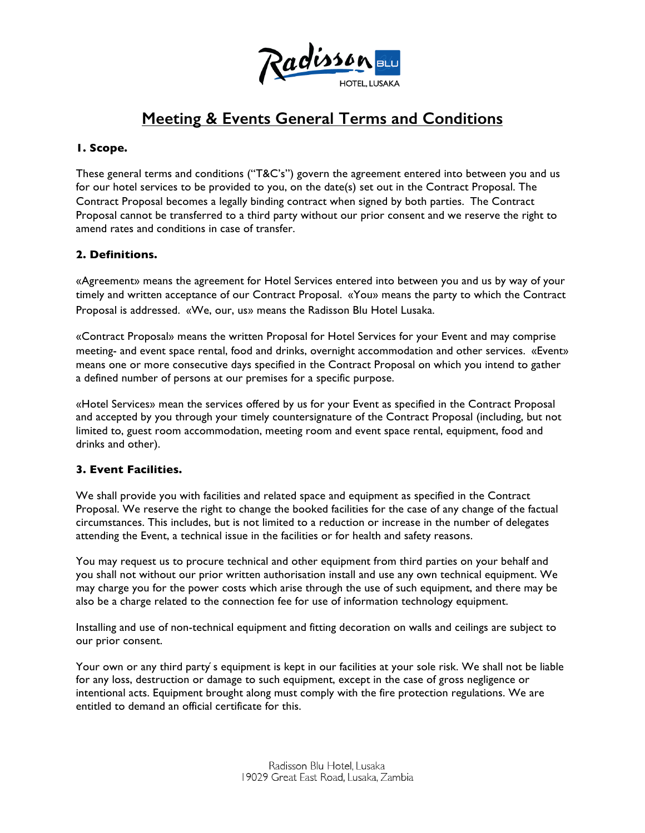

# **Meeting & Events General Terms and Conditions**

## **1. Scope.**

These general terms and conditions ("T&C's") govern the agreement entered into between you and us for our hotel services to be provided to you, on the date(s) set out in the Contract Proposal. The Contract Proposal becomes a legally binding contract when signed by both parties. The Contract Proposal cannot be transferred to a third party without our prior consent and we reserve the right to amend rates and conditions in case of transfer.

## **2. Definitions.**

«Agreement» means the agreement for Hotel Services entered into between you and us by way of your timely and written acceptance of our Contract Proposal. «You» means the party to which the Contract Proposal is addressed. «We, our, us» means the Radisson Blu Hotel Lusaka.

«Contract Proposal» means the written Proposal for Hotel Services for your Event and may comprise meeting- and event space rental, food and drinks, overnight accommodation and other services. «Event» means one or more consecutive days specified in the Contract Proposal on which you intend to gather a defined number of persons at our premises for a specific purpose.

«Hotel Services» mean the services offered by us for your Event as specified in the Contract Proposal and accepted by you through your timely countersignature of the Contract Proposal (including, but not limited to, guest room accommodation, meeting room and event space rental, equipment, food and drinks and other).

# **3. Event Facilities.**

We shall provide you with facilities and related space and equipment as specified in the Contract Proposal. We reserve the right to change the booked facilities for the case of any change of the factual circumstances. This includes, but is not limited to a reduction or increase in the number of delegates attending the Event, a technical issue in the facilities or for health and safety reasons.

You may request us to procure technical and other equipment from third parties on your behalf and you shall not without our prior written authorisation install and use any own technical equipment. We may charge you for the power costs which arise through the use of such equipment, and there may be also be a charge related to the connection fee for use of information technology equipment.

Installing and use of non-technical equipment and fitting decoration on walls and ceilings are subject to our prior consent.

Your own or any third party ́s equipment is kept in our facilities at your sole risk. We shall not be liable for any loss, destruction or damage to such equipment, except in the case of gross negligence or intentional acts. Equipment brought along must comply with the fire protection regulations. We are entitled to demand an official certificate for this.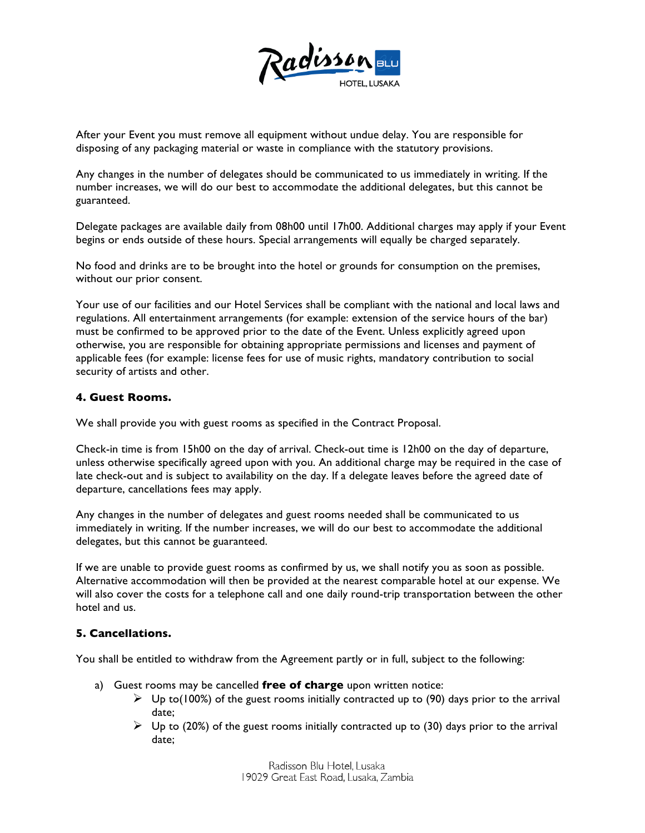

After your Event you must remove all equipment without undue delay. You are responsible for disposing of any packaging material or waste in compliance with the statutory provisions.

Any changes in the number of delegates should be communicated to us immediately in writing. If the number increases, we will do our best to accommodate the additional delegates, but this cannot be guaranteed.

Delegate packages are available daily from 08h00 until 17h00. Additional charges may apply if your Event begins or ends outside of these hours. Special arrangements will equally be charged separately.

No food and drinks are to be brought into the hotel or grounds for consumption on the premises, without our prior consent.

Your use of our facilities and our Hotel Services shall be compliant with the national and local laws and regulations. All entertainment arrangements (for example: extension of the service hours of the bar) must be confirmed to be approved prior to the date of the Event. Unless explicitly agreed upon otherwise, you are responsible for obtaining appropriate permissions and licenses and payment of applicable fees (for example: license fees for use of music rights, mandatory contribution to social security of artists and other.

#### **4. Guest Rooms.**

We shall provide you with guest rooms as specified in the Contract Proposal.

Check-in time is from 15h00 on the day of arrival. Check-out time is 12h00 on the day of departure, unless otherwise specifically agreed upon with you. An additional charge may be required in the case of late check-out and is subject to availability on the day. If a delegate leaves before the agreed date of departure, cancellations fees may apply.

Any changes in the number of delegates and guest rooms needed shall be communicated to us immediately in writing. If the number increases, we will do our best to accommodate the additional delegates, but this cannot be guaranteed.

If we are unable to provide guest rooms as confirmed by us, we shall notify you as soon as possible. Alternative accommodation will then be provided at the nearest comparable hotel at our expense. We will also cover the costs for a telephone call and one daily round-trip transportation between the other hotel and us.

#### **5. Cancellations.**

You shall be entitled to withdraw from the Agreement partly or in full, subject to the following:

- a) Guest rooms may be cancelled **free of charge** upon written notice:
	- $\triangleright$  Up to(100%) of the guest rooms initially contracted up to (90) days prior to the arrival date;
	- $\triangleright$  Up to (20%) of the guest rooms initially contracted up to (30) days prior to the arrival date;

Radisson Blu Hotel, Lusaka 19029 Great East Road, Lusaka, Zambia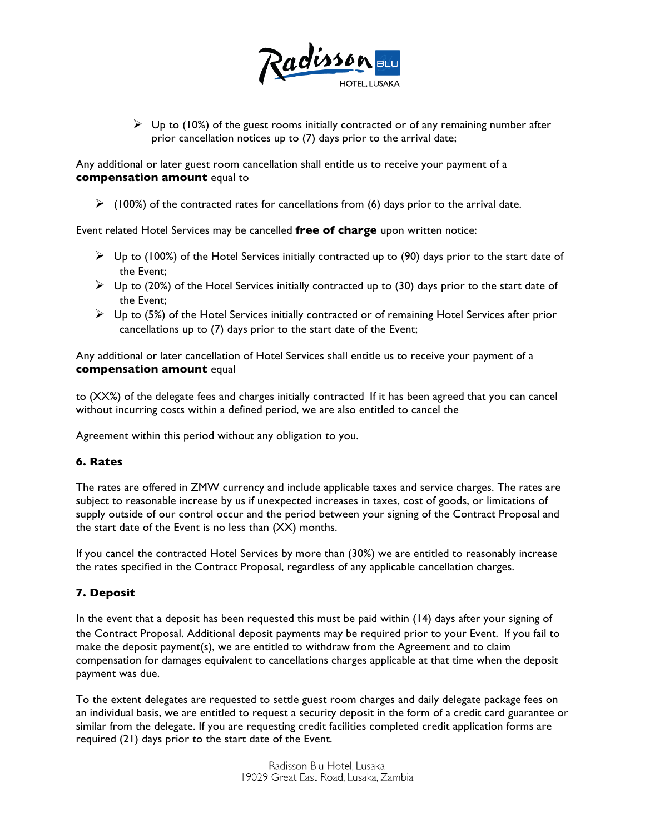

 $\triangleright$  Up to (10%) of the guest rooms initially contracted or of any remaining number after prior cancellation notices up to (7) days prior to the arrival date;

Any additional or later guest room cancellation shall entitle us to receive your payment of a **compensation amount** equal to

 $\triangleright$  (100%) of the contracted rates for cancellations from (6) days prior to the arrival date.

Event related Hotel Services may be cancelled **free of charge** upon written notice:

- $\triangleright$  Up to (100%) of the Hotel Services initially contracted up to (90) days prior to the start date of the Event;
- $\triangleright$  Up to (20%) of the Hotel Services initially contracted up to (30) days prior to the start date of the Event;
- $\triangleright$  Up to (5%) of the Hotel Services initially contracted or of remaining Hotel Services after prior cancellations up to (7) days prior to the start date of the Event;

Any additional or later cancellation of Hotel Services shall entitle us to receive your payment of a **compensation amount** equal

to (XX%) of the delegate fees and charges initially contracted If it has been agreed that you can cancel without incurring costs within a defined period, we are also entitled to cancel the

Agreement within this period without any obligation to you.

#### **6. Rates**

The rates are offered in ZMW currency and include applicable taxes and service charges. The rates are subject to reasonable increase by us if unexpected increases in taxes, cost of goods, or limitations of supply outside of our control occur and the period between your signing of the Contract Proposal and the start date of the Event is no less than (XX) months.

If you cancel the contracted Hotel Services by more than (30%) we are entitled to reasonably increase the rates specified in the Contract Proposal, regardless of any applicable cancellation charges.

#### **7. Deposit**

In the event that a deposit has been requested this must be paid within (14) days after your signing of the Contract Proposal. Additional deposit payments may be required prior to your Event. If you fail to make the deposit payment(s), we are entitled to withdraw from the Agreement and to claim compensation for damages equivalent to cancellations charges applicable at that time when the deposit payment was due.

To the extent delegates are requested to settle guest room charges and daily delegate package fees on an individual basis, we are entitled to request a security deposit in the form of a credit card guarantee or similar from the delegate. If you are requesting credit facilities completed credit application forms are required (21) days prior to the start date of the Event.